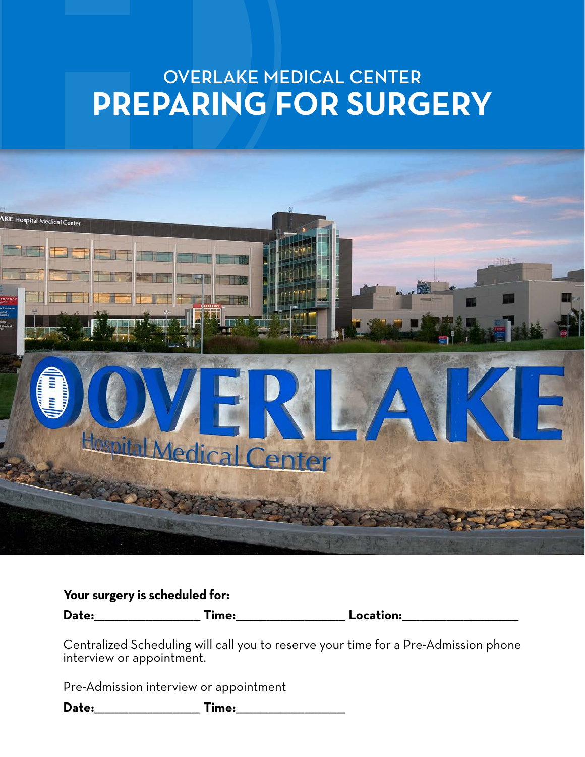# OVERLAKE MEDICAL CENTER **PREPARING FOR SURGERY**



## **Your surgery is scheduled for:**

**Date:**\_\_\_\_\_\_\_\_\_\_\_\_\_\_\_\_\_\_\_\_\_\_\_\_\_\_\_\_\_\_\_ **Time:**\_\_\_\_\_\_\_\_\_\_\_\_\_\_\_\_\_\_\_\_\_\_\_\_\_\_\_\_\_\_\_\_ **Location:**\_\_\_\_\_\_\_\_\_\_\_\_\_\_\_\_\_\_\_\_\_\_\_\_\_\_\_\_\_\_\_\_\_\_

Centralized Scheduling will call you to reserve your time for a Pre-Admission phone interview or appointment.

Pre-Admission interview or appointment

**Date:**\_\_\_\_\_\_\_\_\_\_\_\_\_\_\_\_\_\_\_\_\_\_\_\_\_\_\_\_\_\_\_ **Time:**\_\_\_\_\_\_\_\_\_\_\_\_\_\_\_\_\_\_\_\_\_\_\_\_\_\_\_\_\_\_\_\_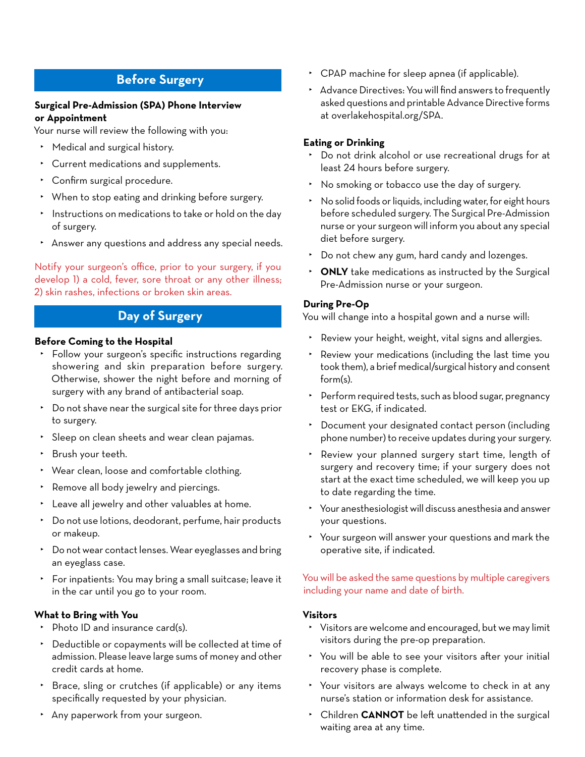# **Before Surgery**

#### **Surgical Pre-Admission (SPA) Phone Interview or Appointment**

Your nurse will review the following with you:

- ‣ Medical and surgical history.
- ‣ Current medications and supplements.
- ‣ Confirm surgical procedure.
- ‣ When to stop eating and drinking before surgery.
- ‣ Instructions on medications to take or hold on the day of surgery.
- ‣ Answer any questions and address any special needs.

Notify your surgeon's office, prior to your surgery, if you develop 1) a cold, fever, sore throat or any other illness; 2) skin rashes, infections or broken skin areas.

# **Day of Surgery**

#### **Before Coming to the Hospital**

- ‣ Follow your surgeon's specific instructions regarding showering and skin preparation before surgery. Otherwise, shower the night before and morning of surgery with any brand of antibacterial soap.
- ‣ Do not shave near the surgical site for three days prior to surgery.
- ‣ Sleep on clean sheets and wear clean pajamas.
- ‣ Brush your teeth.
- ‣ Wear clean, loose and comfortable clothing.
- ‣ Remove all body jewelry and piercings.
- ‣ Leave all jewelry and other valuables at home.
- ‣ Do not use lotions, deodorant, perfume, hair products or makeup.
- ‣ Do not wear contact lenses. Wear eyeglasses and bring an eyeglass case.
- ‣ For inpatients: You may bring a small suitcase; leave it in the car until you go to your room.

## **What to Bring with You**

- ‣ Photo ID and insurance card(s).
- ‣ Deductible or copayments will be collected at time of admission. Please leave large sums of money and other credit cards at home.
- ‣ Brace, sling or crutches (if applicable) or any items specifically requested by your physician.
- ‣ Any paperwork from your surgeon.
- ‣ CPAP machine for sleep apnea (if applicable).
- ‣ Advance Directives: You will find answers to frequently asked questions and printable Advance Directive forms at overlakehospital.org/SPA.

#### **Eating or Drinking**

- ‣ Do not drink alcohol or use recreational drugs for at least 24 hours before surgery.
- ‣ No smoking or tobacco use the day of surgery.
- ‣ No solid foods or liquids, including water, for eight hours before scheduled surgery. The Surgical Pre-Admission nurse or your surgeon will inform you about any special diet before surgery.
- ‣ Do not chew any gum, hard candy and lozenges.
- ‣ **ONLY** take medications as instructed by the Surgical Pre-Admission nurse or your surgeon.

#### **During Pre-Op**

You will change into a hospital gown and a nurse will:

- ‣ Review your height, weight, vital signs and allergies.
- ‣ Review your medications (including the last time you took them), a brief medical/surgical history and consent form(s).
- ‣ Perform required tests, such as blood sugar, pregnancy test or EKG, if indicated.
- ‣ Document your designated contact person (including phone number) to receive updates during your surgery.
- Review your planned surgery start time, length of surgery and recovery time; if your surgery does not start at the exact time scheduled, we will keep you up to date regarding the time.
- ‣ Your anesthesiologist will discuss anesthesia and answer your questions.
- ‣ Your surgeon will answer your questions and mark the operative site, if indicated.

#### You will be asked the same questions by multiple caregivers including your name and date of birth.

#### **Visitors**

- ‣ Visitors are welcome and encouraged, but we may limit visitors during the pre-op preparation.
- ‣ You will be able to see your visitors after your initial recovery phase is complete.
- ‣ Your visitors are always welcome to check in at any nurse's station or information desk for assistance.
- ‣ Children **CANNOT** be left unattended in the surgical waiting area at any time.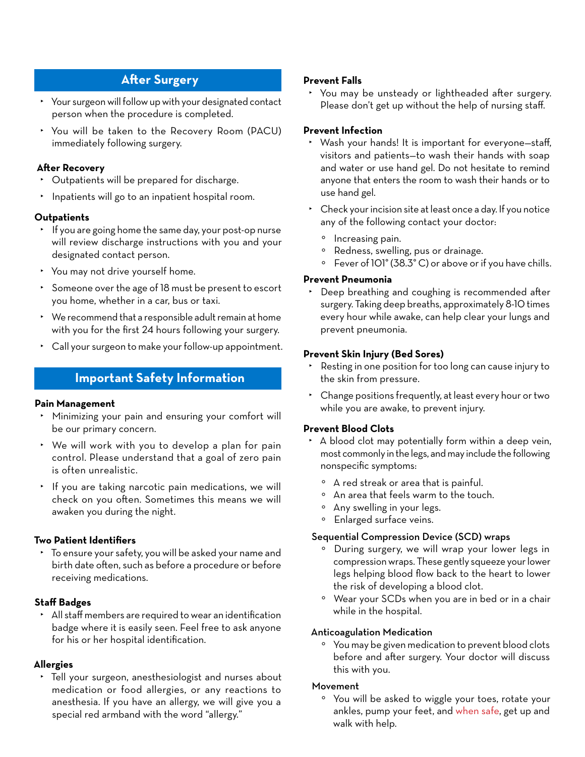# **After Surgery**

- ‣ Your surgeon will follow up with your designated contact person when the procedure is completed.
- ‣ You will be taken to the Recovery Room (PACU) immediately following surgery.

#### **After Recovery**

- ‣ Outpatients will be prepared for discharge.
- ‣ Inpatients will go to an inpatient hospital room.

## **Outpatients**

- ‣ If you are going home the same day, your post-op nurse will review discharge instructions with you and your designated contact person.
- ‣ You may not drive yourself home.
- ‣ Someone over the age of 18 must be present to escort you home, whether in a car, bus or taxi.
- ‣ We recommend that a responsible adult remain at home with you for the first 24 hours following your surgery.
- ‣ Call your surgeon to make your follow-up appointment.

# **Important Safety Information**

#### **Pain Management**

- ‣ Minimizing your pain and ensuring your comfort will be our primary concern.
- ‣ We will work with you to develop a plan for pain control. Please understand that a goal of zero pain is often unrealistic.
- ‣ If you are taking narcotic pain medications, we will check on you often. Sometimes this means we will awaken you during the night.

## **Two Patient Identifiers**

‣ To ensure your safety, you will be asked your name and birth date often, such as before a procedure or before receiving medications.

## **Staff Badges**

‣ All staff members are required to wear an identification badge where it is easily seen. Feel free to ask anyone for his or her hospital identification.

## **Allergies**

‣ Tell your surgeon, anesthesiologist and nurses about medication or food allergies, or any reactions to anesthesia. If you have an allergy, we will give you a special red armband with the word "allergy."

## **Prevent Falls**

‣ You may be unsteady or lightheaded after surgery. Please don't get up without the help of nursing staff.

## **Prevent Infection**

- ‣ Wash your hands! It is important for everyone—staff, visitors and patients—to wash their hands with soap and water or use hand gel. Do not hesitate to remind anyone that enters the room to wash their hands or to use hand gel.
- ‣ Check your incision site at least once a day. If you notice any of the following contact your doctor:
	- ° Increasing pain.
	- ° Redness, swelling, pus or drainage.
	- ° Fever of 101° (38.3° C) or above or if you have chills.

#### **Prevent Pneumonia**

‣ Deep breathing and coughing is recommended after surgery. Taking deep breaths, approximately 8-10 times every hour while awake, can help clear your lungs and prevent pneumonia.

#### **Prevent Skin Injury (Bed Sores)**

- ‣ Resting in one position for too long can cause injury to the skin from pressure.
- ‣ Change positions frequently, at least every hour or two while you are awake, to prevent injury.

## **Prevent Blood Clots**

- ‣ A blood clot may potentially form within a deep vein, most commonly in the legs, and may include the following nonspecific symptoms:
	- ° A red streak or area that is painful.
	- ° An area that feels warm to the touch.
	- ° Any swelling in your legs.
	- ° Enlarged surface veins.

#### Sequential Compression Device (SCD) wraps

- ° During surgery, we will wrap your lower legs in compression wraps. These gently squeeze your lower legs helping blood flow back to the heart to lower the risk of developing a blood clot.
- ° Wear your SCDs when you are in bed or in a chair while in the hospital.

#### Anticoagulation Medication

° You may be given medication to prevent blood clots before and after surgery. Your doctor will discuss this with you.

#### Movement

° You will be asked to wiggle your toes, rotate your ankles, pump your feet, and when safe, get up and walk with help.